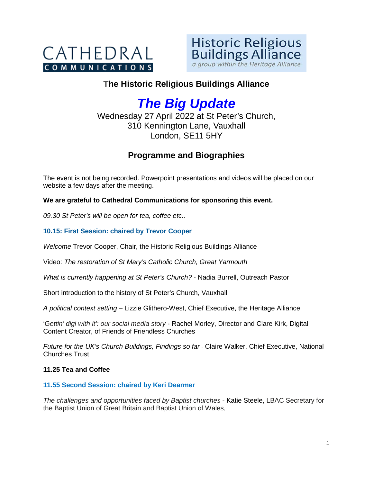



# **The Historic Religious Buildings Alliance**

# *The Big Update*

Wednesday 27 April 2022 at St Peter's Church, 310 Kennington Lane, Vauxhall London, SE11 5HY

# **Programme and Biographies**

The event is not being recorded. Powerpoint presentations and videos will be placed on our website a few days after the meeting.

## **We are grateful to Cathedral Communications for sponsoring this event.**

*09.30 St Peter's will be open for tea, coffee etc..* 

## **10.15: First Session: chaired by Trevor Cooper**

*Welcome* Trevor Cooper, Chair, the Historic Religious Buildings Alliance

Video: *The restoration of St Mary's Catholic Church, Great Yarmouth* 

*What is currently happening at St Peter's Church?* - Nadia Burrell, Outreach Pastor

Short introduction to the history of St Peter's Church, Vauxhall

*A political context setting* – Lizzie Glithero-West, Chief Executive, the Heritage Alliance

'*Gettin' digi with it': our social media story* - Rachel Morley, Director and Clare Kirk, Digital Content Creator, of Friends of Friendless Churches

*Future for the UK's Church Buildings, Findings so far* - Claire Walker, Chief Executive, National Churches Trust

### **11.25 Tea and Coffee**

### **11.55 Second Session: chaired by Keri Dearmer**

*The challenges and opportunities faced by Baptist churches* - Katie Steele, LBAC Secretary for the Baptist Union of Great Britain and Baptist Union of Wales,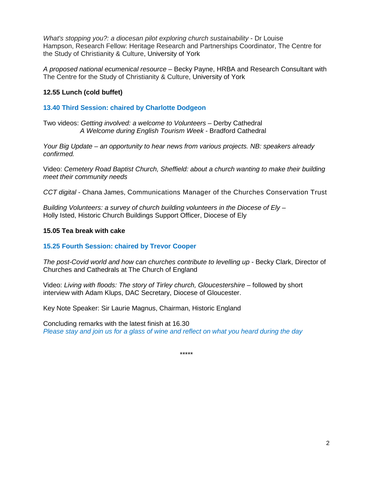*What's stopping you?: a diocesan pilot exploring church sustainability* - Dr Louise Hampson, Research Fellow: Heritage Research and Partnerships Coordinator, The Centre for the Study of Christianity & Culture, University of York

*A proposed national ecumenical resource* – Becky Payne, HRBA and Research Consultant with The Centre for the Study of Christianity & Culture, University of York

### **12.55 Lunch (cold buffet)**

### **13.40 Third Session: chaired by Charlotte Dodgeon**

Two videos: *Getting involved: a welcome to Volunteers* – Derby Cathedral *A Welcome during English Tourism Week* - Bradford Cathedral

*Your Big Update – an opportunity to hear news from various projects. NB: speakers already confirmed.*

Video: *Cemetery Road Baptist Church, Sheffield: about a church wanting to make their building meet their community needs*

*CCT digital* - Chana James, Communications Manager of the Churches Conservation Trust

*Building Volunteers: a survey of church building volunteers in the Diocese of Ely* – Holly Isted, Historic Church Buildings Support Officer, Diocese of Ely

#### **15.05 Tea break with cake**

### **15.25 Fourth Session: chaired by Trevor Cooper**

*The post-Covid world and how can churches contribute to levelling up -* Becky Clark, Director of Churches and Cathedrals at The Church of England

Video: *Living with floods: The story of Tirley church, Gloucestershire –* followed by short interview with Adam Klups, DAC Secretary, Diocese of Gloucester.

Key Note Speaker: Sir Laurie Magnus, Chairman, Historic England

Concluding remarks with the latest finish at 16.30 *Please stay and join us for a glass of wine and reflect on what you heard during the day*

\*\*\*\*\*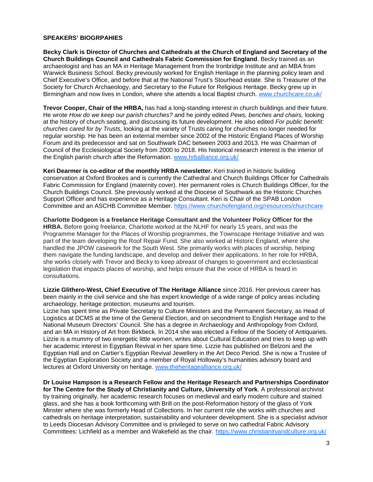#### **SPEAKERS' BIOGRPAHIES**

**Becky Clark is Director of Churches and Cathedrals at the Church of England and Secretary of the Church Buildings Council and Cathedrals Fabric Commission for England**. Becky trained as an archaeologist and has an MA in Heritage Management from the Ironbridge Institute and an MBA from Warwick Business School. Becky previously worked for English Heritage in the planning policy team and Chief Executive's Office, and before that at the National Trust's Stourhead estate. She is Treasurer of the Society for Church Archaeology, and Secretary to the Future for Religious Heritage. Becky grew up in Birmingham and now lives in London, where she attends a local Baptist church. [www.churchcare.co.uk/](http://www.churchcare.co.uk/)

**Trevor Cooper, Chair of the HRBA,** has had a long-standing interest in church buildings and their future. He wrote *How do we keep our parish churches?* and he jointly edited *Pews, benches and chairs,* looking at the history of church seating, and discussing its future development. He also edited *For public benefit: churches cared for by Trusts,* looking at the variety of Trusts caring for churches no longer needed for regular worship*.* He has been an external member since 2002 of the Historic England Places of Worship Forum and its predecessor and sat on Southwark DAC between 2003 and 2013. He was Chairman of Council of the Ecclesiological Society from 2000 to 2018. His historical research interest is the interior of the English parish church after the Reformation. [www.hrballiance.org.uk/](http://www.hrballiance.org.uk/)

**Keri Dearmer is co-editor of the monthly HRBA newsletter.** Keri trained in historic building conservation at Oxford Brookes and is currently the Cathedral and Church Buildings Officer for Cathedrals Fabric Commission for England (maternity cover). Her permanent roles is Church Buildings Officer, for the Church Buildings Council. She previously worked at the Diocese of Southwark as the Historic Churches Support Officer and has experience as a Heritage Consultant. Keri is Chair of the SPAB London Committee and an ASCHB Committee Member. <https://www.churchofengland.org/resources/churchcare>

**Charlotte Dodgeon is a freelance Heritage Consultant and the Volunteer Policy Officer for the HRBA.** Before going freelance, Charlotte worked at the NLHF for nearly 15 years, and was the Programme Manager for the Places of Worship programmes, the Townscape Heritage Initiative and was part of the team developing the Roof Repair Fund. She also worked at Historic England, where she handled the JPOW casework for the South West. She primarily works with places of worship, helping them navigate the funding landscape, and develop and deliver their applications. In her role for HRBA, she works closely with Trevor and Becky to keep abreast of changes to government and ecclesiastical legislation that impacts places of worship, and helps ensure that the voice of HRBA is heard in consultations.

**Lizzie Glithero-West, Chief Executive of The Heritage Alliance** since 2016. Her previous career has been mainly in the civil service and she has expert knowledge of a wide range of policy areas including archaeology, heritage protection, museums and tourism.

Lizzie has spent time as Private Secretary to Culture Ministers and the Permanent Secretary, as Head of Logistics at DCMS at the time of the General Election, and on secondment to English Heritage and to the National Museum Directors' Council. She has a degree in Archaeology and Anthropology from Oxford, and an MA in History of Art from Birkbeck. In 2014 she was elected a Fellow of the Society of Antiquaries. Lizzie is a mummy of two energetic little women, writes about Cultural Education and tries to keep up with her academic interest in Egyptian Revival in her spare time. Lizzie has published on Belzoni and the Egyptian Hall and on Cartier's Egyptian Revival Jewellery in the Art Deco Period. She is now a Trustee of the Egyptian Exploration Society and a member of Royal Holloway's humanities advisory board and lectures at Oxford University on heritage. [www.theheritagealliance.org.uk/](http://www.theheritagealliance.org.uk/)

**Dr Louise Hampson is a Research Fellow and the Heritage Research and Partnerships Coordinator for The Centre for the Study of Christianity and Culture, University of York**. A professional archivist by training originally, her academic research focuses on medieval and early modern culture and stained glass, and she has a book forthcoming with Brill on the post-Reformation history of the glass of York Minster where she was formerly Head of Collections. In her current role she works with churches and cathedrals on heritage interpretation, sustainability and volunteer development. She is a specialist advisor to Leeds Diocesan Advisory Committee and is privileged to serve on two cathedral Fabric Advisory Committees: Lichfield as a member and Wakefield as the chair. <https://www.christianityandculture.org.uk/>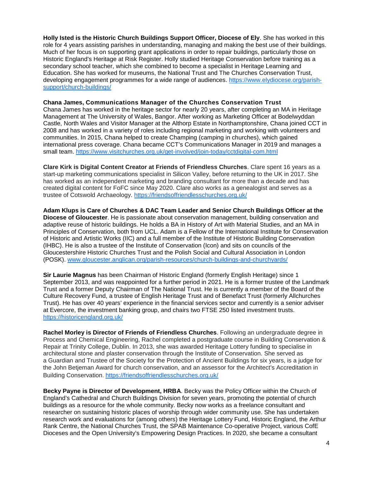**Holly Isted is the Historic Church Buildings Support Officer, Diocese of Ely**. She has worked in this role for 4 years assisting parishes in understanding, managing and making the best use of their buildings. Much of her focus is on supporting grant applications in order to repair buildings, particularly those on Historic England's Heritage at Risk Register. Holly studied Heritage Conservation before training as a secondary school teacher, which she combined to become a specialist in Heritage Learning and Education. She has worked for museums, the National Trust and The Churches Conservation Trust, developing engagement programmes for a wide range of audiences. [https://www.elydiocese.org/parish](https://www.elydiocese.org/parish-support/church-buildings/)[support/church-buildings/](https://www.elydiocese.org/parish-support/church-buildings/)

#### **Chana James, Communications Manager of the Churches Conservation Trust**

Chana James has worked in the heritage sector for nearly 20 years, after completing an MA in Heritage Management at The University of Wales, Bangor. After working as Marketing Officer at Bodelwyddan Castle, North Wales and Visitor Manager at the Althorp Estate in Northamptonshire, Chana joined CCT in 2008 and has worked in a variety of roles including regional marketing and working with volunteers and communities. In 2015, Chana helped to create Champing (camping in churches), which gained international press coverage. Chana became CCT's Communications Manager in 2019 and manages a small team. <https://www.visitchurches.org.uk/get-involved/join-today/cctdigital-com.html>

**Clare Kirk is Digital Content Creator at Friends of Friendless Churches**. Clare spent 16 years as a start-up marketing communications specialist in Silicon Valley, before returning to the UK in 2017. She has worked as an independent marketing and branding consultant for more than a decade and has created digital content for FoFC since May 2020. Clare also works as a genealogist and serves as a trustee of Cotswold Archaeology. <https://friendsoffriendlesschurches.org.uk/>

**Adam Klups is Care of Churches & DAC Team Leader and Senior Church Buildings Officer at the Diocese of Gloucester**. He is passionate about conservation management, building conservation and adaptive reuse of historic buildings. He holds a BA in History of Art with Material Studies, and an MA in Principles of Conservation, both from UCL. Adam is a Fellow of the International Institute for Conservation of Historic and Artistic Works (IIC) and a full member of the Institute of Historic Building Conservation (IHBC). He is also a trustee of the Institute of Conservation (Icon) and sits on councils of the Gloucestershire Historic Churches Trust and the Polish Social and Cultural Association in London (POSK). [www.gloucester.anglican.org/parish-resources/church-buildings-and-churchyards/](http://www.gloucester.anglican.org/parish-resources/church-buildings-and-churchyards/)

**Sir Laurie Magnus** has been Chairman of Historic England (formerly English Heritage) since 1 September 2013, and was reappointed for a further period in 2021. He is a former trustee of the Landmark Trust and a former Deputy Chairman of The National Trust. He is currently a member of the Board of the Culture Recovery Fund, a trustee of English Heritage Trust and of Benefact Trust (formerly Allchurches Trust). He has over 40 years' experience in the financial services sector and currently is a senior adviser at Evercore, the investment banking group, and chairs two FTSE 250 listed investment trusts. <https://historicengland.org.uk/>

**Rachel Morley is Director of Friends of Friendless Churches**. Following an undergraduate degree in Process and Chemical Engineering, Rachel completed a postgraduate course in Building Conservation & Repair at Trinity College, Dublin. In 2013, she was awarded Heritage Lottery funding to specialise in architectural stone and plaster conservation through the Institute of Conservation. She served as a Guardian and Trustee of the Society for the Protection of Ancient Buildings for six years, is a judge for the John Betjeman Award for church conservation, and an assessor for the Architect's Accreditation in Building Conservation. <https://friendsoffriendlesschurches.org.uk/>

**Becky Payne is Director of Development, HRBA**. Becky was the Policy Officer within the Church of England's Cathedral and Church Buildings Division for seven years, promoting the potential of church buildings as a resource for the whole community. Becky now works as a freelance consultant and researcher on sustaining historic places of worship through wider community use. She has undertaken research work and evaluations for (among others) the Heritage Lottery Fund, Historic England, the Arthur Rank Centre, the National Churches Trust, the SPAB Maintenance Co-operative Project, various CofE Dioceses and the Open University's Empowering Design Practices. In 2020, she became a consultant